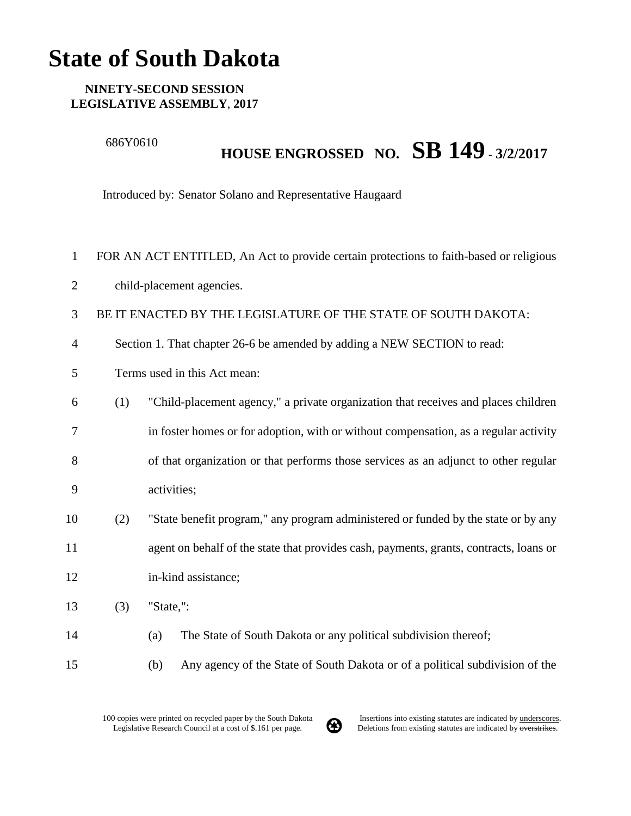# **State of South Dakota**

### **NINETY-SECOND SESSION LEGISLATIVE ASSEMBLY**, **2017**

686Y0610

## **HOUSE ENGROSSED NO. SB 149** - **3/2/2017**

Introduced by: Senator Solano and Representative Haugaard

### FOR AN ACT ENTITLED, An Act to provide certain protections to faith-based or religious

- child-placement agencies.
- BE IT ENACTED BY THE LEGISLATURE OF THE STATE OF SOUTH DAKOTA:
- Section 1. That chapter 26-6 be amended by adding a NEW SECTION to read:

#### Terms used in this Act mean:

- (1) "Child-placement agency," a private organization that receives and places children in foster homes or for adoption, with or without compensation, as a regular activity of that organization or that performs those services as an adjunct to other regular activities;
- (2) "State benefit program," any program administered or funded by the state or by any

agent on behalf of the state that provides cash, payments, grants, contracts, loans or

- 12 in-kind assistance;
- (3) "State,":
- (a) The State of South Dakota or any political subdivision thereof;
- 
- (b) Any agency of the State of South Dakota or of a political subdivision of the

100 copies were printed on recycled paper by the South Dakota required on recycled paper by the South Dakota<br>
Legislative Research Council at a cost of \$.161 per page. Deletions from existing statutes are indicated by overstrikes.

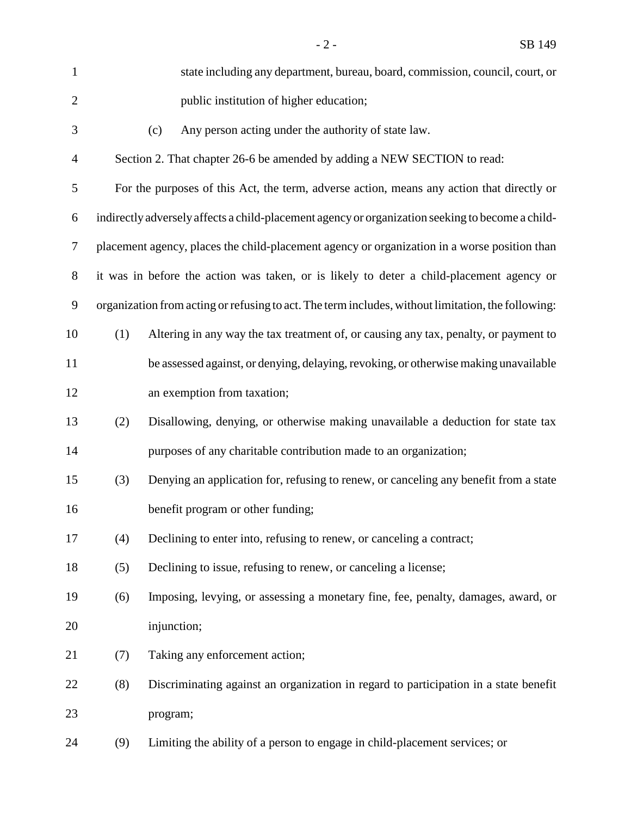| $\mathbf{1}$   |     | state including any department, bureau, board, commission, council, court, or                      |
|----------------|-----|----------------------------------------------------------------------------------------------------|
| $\overline{2}$ |     | public institution of higher education;                                                            |
| 3              |     | Any person acting under the authority of state law.<br>(c)                                         |
| 4              |     | Section 2. That chapter 26-6 be amended by adding a NEW SECTION to read:                           |
| 5              |     | For the purposes of this Act, the term, adverse action, means any action that directly or          |
| 6              |     | indirectly adversely affects a child-placement agency or organization seeking to become a child-   |
| 7              |     | placement agency, places the child-placement agency or organization in a worse position than       |
| 8              |     | it was in before the action was taken, or is likely to deter a child-placement agency or           |
| 9              |     | organization from acting or refusing to act. The term includes, without limitation, the following: |
| 10             | (1) | Altering in any way the tax treatment of, or causing any tax, penalty, or payment to               |
| 11             |     | be assessed against, or denying, delaying, revoking, or otherwise making unavailable               |
| 12             |     | an exemption from taxation;                                                                        |
| 13             | (2) | Disallowing, denying, or otherwise making unavailable a deduction for state tax                    |
| 14             |     | purposes of any charitable contribution made to an organization;                                   |
| 15             | (3) | Denying an application for, refusing to renew, or canceling any benefit from a state               |
| 16             |     | benefit program or other funding;                                                                  |
| 17             | (4) | Declining to enter into, refusing to renew, or canceling a contract;                               |
| 18             | (5) | Declining to issue, refusing to renew, or canceling a license;                                     |
| 19             | (6) | Imposing, levying, or assessing a monetary fine, fee, penalty, damages, award, or                  |
| 20             |     | injunction;                                                                                        |
| 21             | (7) | Taking any enforcement action;                                                                     |
| 22             | (8) | Discriminating against an organization in regard to participation in a state benefit               |
| 23             |     | program;                                                                                           |
| 24             | (9) | Limiting the ability of a person to engage in child-placement services; or                         |

- 2 - SB 149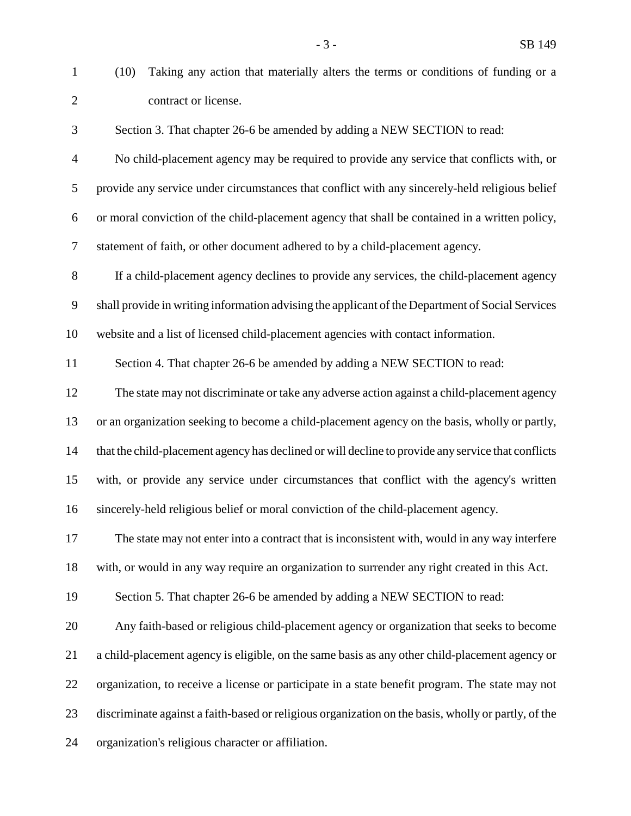| $\mathbf{1}$   | Taking any action that materially alters the terms or conditions of funding or a<br>(10)            |
|----------------|-----------------------------------------------------------------------------------------------------|
| $\overline{2}$ | contract or license.                                                                                |
| 3              | Section 3. That chapter 26-6 be amended by adding a NEW SECTION to read:                            |
| $\overline{4}$ | No child-placement agency may be required to provide any service that conflicts with, or            |
| 5              | provide any service under circumstances that conflict with any sincerely-held religious belief      |
| 6              | or moral conviction of the child-placement agency that shall be contained in a written policy,      |
| 7              | statement of faith, or other document adhered to by a child-placement agency.                       |
| $8\,$          | If a child-placement agency declines to provide any services, the child-placement agency            |
| 9              | shall provide in writing information advising the applicant of the Department of Social Services    |
| 10             | website and a list of licensed child-placement agencies with contact information.                   |
| 11             | Section 4. That chapter 26-6 be amended by adding a NEW SECTION to read:                            |
| 12             | The state may not discriminate or take any adverse action against a child-placement agency          |
| 13             | or an organization seeking to become a child-placement agency on the basis, wholly or partly,       |
| 14             | that the child-placement agency has declined or will decline to provide any service that conflicts  |
| 15             | with, or provide any service under circumstances that conflict with the agency's written            |
| 16             | sincerely-held religious belief or moral conviction of the child-placement agency.                  |
| 17             | The state may not enter into a contract that is inconsistent with, would in any way interfere       |
| 18             | with, or would in any way require an organization to surrender any right created in this Act.       |
| 19             | Section 5. That chapter 26-6 be amended by adding a NEW SECTION to read:                            |
| 20             | Any faith-based or religious child-placement agency or organization that seeks to become            |
| 21             | a child-placement agency is eligible, on the same basis as any other child-placement agency or      |
| 22             | organization, to receive a license or participate in a state benefit program. The state may not     |
| 23             | discriminate against a faith-based or religious organization on the basis, wholly or partly, of the |
| 24             | organization's religious character or affiliation.                                                  |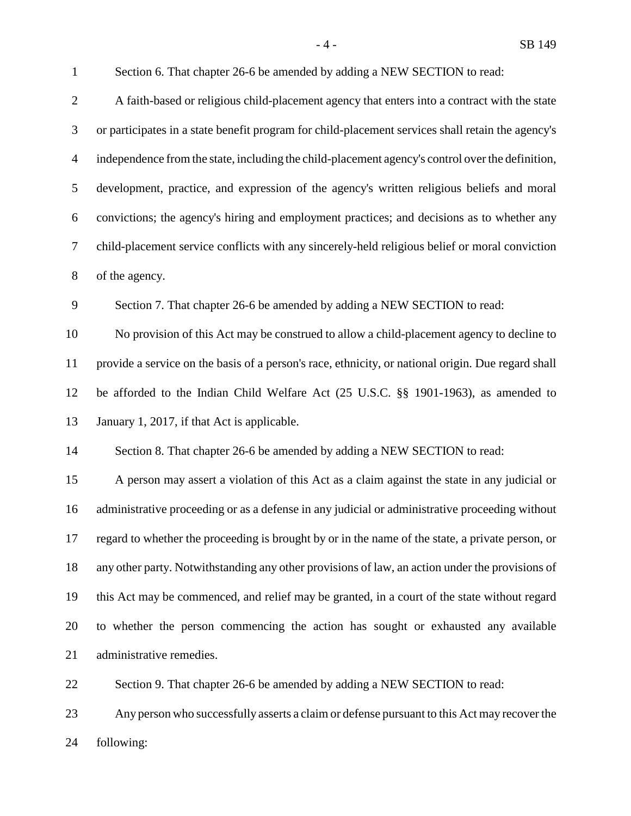| $\mathbf{1}$   | Section 6. That chapter 26-6 be amended by adding a NEW SECTION to read:                           |
|----------------|----------------------------------------------------------------------------------------------------|
| $\sqrt{2}$     | A faith-based or religious child-placement agency that enters into a contract with the state       |
| 3              | or participates in a state benefit program for child-placement services shall retain the agency's  |
| $\overline{4}$ | independence from the state, including the child-placement agency's control over the definition,   |
| 5              | development, practice, and expression of the agency's written religious beliefs and moral          |
| 6              | convictions; the agency's hiring and employment practices; and decisions as to whether any         |
| $\tau$         | child-placement service conflicts with any sincerely-held religious belief or moral conviction     |
| $8\,$          | of the agency.                                                                                     |
| 9              | Section 7. That chapter 26-6 be amended by adding a NEW SECTION to read:                           |
| 10             | No provision of this Act may be construed to allow a child-placement agency to decline to          |
| 11             | provide a service on the basis of a person's race, ethnicity, or national origin. Due regard shall |
| 12             | be afforded to the Indian Child Welfare Act (25 U.S.C. §§ 1901-1963), as amended to                |
| 13             | January 1, 2017, if that Act is applicable.                                                        |
| 14             | Section 8. That chapter 26-6 be amended by adding a NEW SECTION to read:                           |
| 15             | A person may assert a violation of this Act as a claim against the state in any judicial or        |
| 16             | administrative proceeding or as a defense in any judicial or administrative proceeding without     |
| 17             | regard to whether the proceeding is brought by or in the name of the state, a private person, or   |
| 18             | any other party. Notwithstanding any other provisions of law, an action under the provisions of    |
| 19             | this Act may be commenced, and relief may be granted, in a court of the state without regard       |
| 20             | to whether the person commencing the action has sought or exhausted any available                  |
| 21             | administrative remedies.                                                                           |
| 22             | Section 9. That chapter 26-6 be amended by adding a NEW SECTION to read:                           |
| 23             | Any person who successfully asserts a claim or defense pursuant to this Act may recover the        |
| 24             | following:                                                                                         |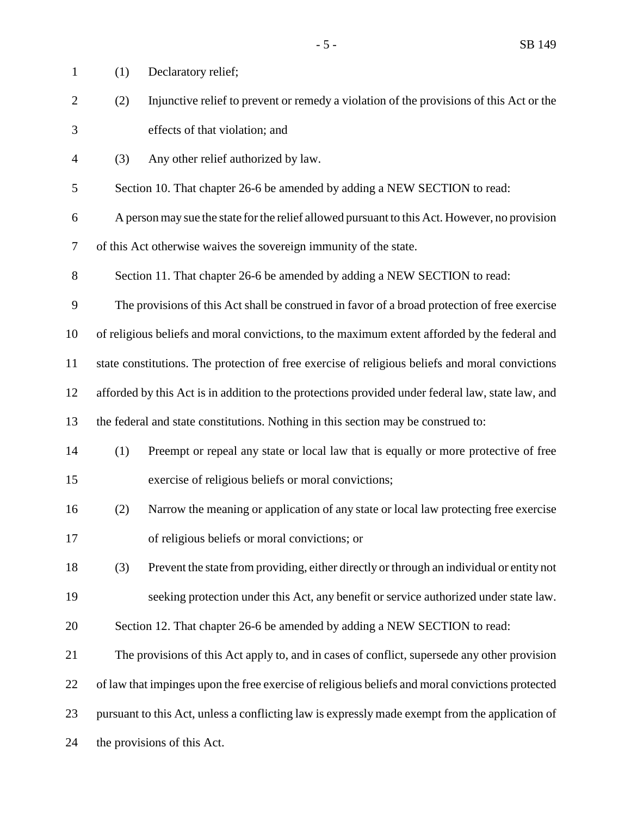(1) Declaratory relief;

- (2) Injunctive relief to prevent or remedy a violation of the provisions of this Act or the effects of that violation; and
- (3) Any other relief authorized by law.
- Section 10. That chapter 26-6 be amended by adding a NEW SECTION to read:
- A person may sue the state for the relief allowed pursuant to this Act. However, no provision
- of this Act otherwise waives the sovereign immunity of the state.
- Section 11. That chapter 26-6 be amended by adding a NEW SECTION to read:
- The provisions of this Act shall be construed in favor of a broad protection of free exercise
- of religious beliefs and moral convictions, to the maximum extent afforded by the federal and
- state constitutions. The protection of free exercise of religious beliefs and moral convictions
- afforded by this Act is in addition to the protections provided under federal law, state law, and
- the federal and state constitutions. Nothing in this section may be construed to:
- (1) Preempt or repeal any state or local law that is equally or more protective of free exercise of religious beliefs or moral convictions;
- (2) Narrow the meaning or application of any state or local law protecting free exercise of religious beliefs or moral convictions; or
- (3) Prevent the state from providing, either directly or through an individual or entity not seeking protection under this Act, any benefit or service authorized under state law.
- Section 12. That chapter 26-6 be amended by adding a NEW SECTION to read:
- The provisions of this Act apply to, and in cases of conflict, supersede any other provision
- of law that impinges upon the free exercise of religious beliefs and moral convictions protected
- pursuant to this Act, unless a conflicting law is expressly made exempt from the application of
- the provisions of this Act.